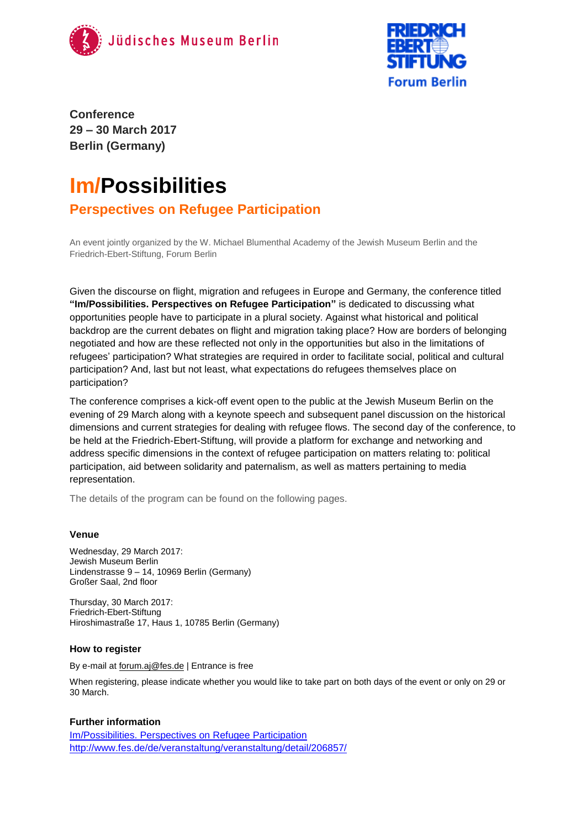



**Conference 29 – 30 March 2017 Berlin (Germany)**

# **Im/Possibilities**

### **Perspectives on Refugee Participation**

An event jointly organized by the W. Michael Blumenthal Academy of the Jewish Museum Berlin and the Friedrich-Ebert-Stiftung, Forum Berlin

Given the discourse on flight, migration and refugees in Europe and Germany, the conference titled **"Im/Possibilities. Perspectives on Refugee Participation"** is dedicated to discussing what opportunities people have to participate in a plural society. Against what historical and political backdrop are the current debates on flight and migration taking place? How are borders of belonging negotiated and how are these reflected not only in the opportunities but also in the limitations of refugees' participation? What strategies are required in order to facilitate social, political and cultural participation? And, last but not least, what expectations do refugees themselves place on participation?

The conference comprises a kick-off event open to the public at the Jewish Museum Berlin on the evening of 29 March along with a keynote speech and subsequent panel discussion on the historical dimensions and current strategies for dealing with refugee flows. The second day of the conference, to be held at the Friedrich-Ebert-Stiftung, will provide a platform for exchange and networking and address specific dimensions in the context of refugee participation on matters relating to: political participation, aid between solidarity and paternalism, as well as matters pertaining to media representation.

The details of the program can be found on the following pages.

#### **Venue**

Wednesday, 29 March 2017: Jewish Museum Berlin Lindenstrasse 9 – 14, 10969 Berlin (Germany) Großer Saal, 2nd floor

Thursday, 30 March 2017: Friedrich-Ebert-Stiftung Hiroshimastraße 17, Haus 1, 10785 Berlin (Germany)

#### **How to register**

By e-mail at [forum.aj@fes.de](mailto:forum.aj@fes.de) | Entrance is free

When registering, please indicate whether you would like to take part on both days of the event or only on 29 or 30 March.

#### **Further information**

[Im/Possibilities. Perspectives on](https://www.jmberlin.de/en/discussion-on-participation) Refugee Participation <http://www.fes.de/de/veranstaltung/veranstaltung/detail/206857/>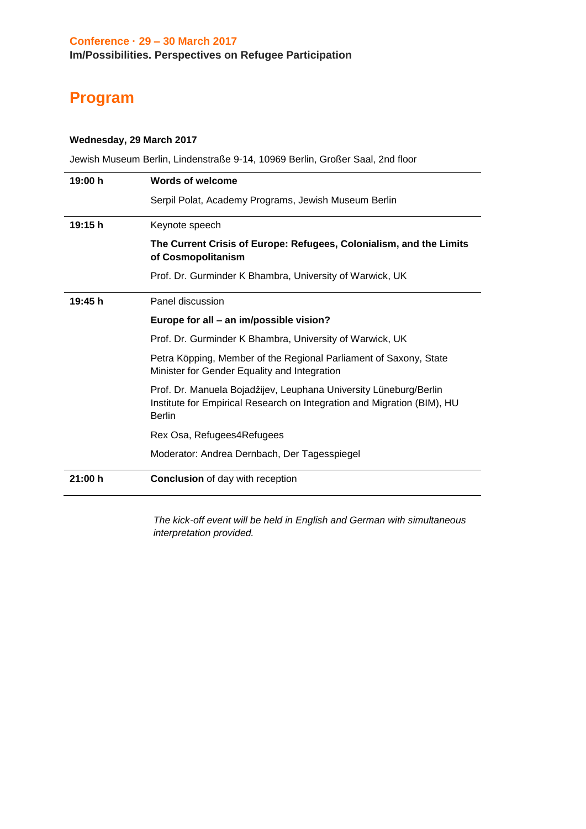## **Program**

#### **Wednesday, 29 March 2017**

Jewish Museum Berlin, Lindenstraße 9-14, 10969 Berlin, Großer Saal, 2nd floor

| 19:00 h | <b>Words of welcome</b>                                                                                                                                       |
|---------|---------------------------------------------------------------------------------------------------------------------------------------------------------------|
|         | Serpil Polat, Academy Programs, Jewish Museum Berlin                                                                                                          |
| 19:15 h | Keynote speech                                                                                                                                                |
|         | The Current Crisis of Europe: Refugees, Colonialism, and the Limits<br>of Cosmopolitanism                                                                     |
|         | Prof. Dr. Gurminder K Bhambra, University of Warwick, UK                                                                                                      |
| 19:45 h | Panel discussion                                                                                                                                              |
|         | Europe for all - an im/possible vision?                                                                                                                       |
|         | Prof. Dr. Gurminder K Bhambra, University of Warwick, UK                                                                                                      |
|         | Petra Köpping, Member of the Regional Parliament of Saxony, State<br>Minister for Gender Equality and Integration                                             |
|         | Prof. Dr. Manuela Bojadžijev, Leuphana University Lüneburg/Berlin<br>Institute for Empirical Research on Integration and Migration (BIM), HU<br><b>Berlin</b> |
|         | Rex Osa, Refugees4Refugees                                                                                                                                    |
|         | Moderator: Andrea Dernbach, Der Tagesspiegel                                                                                                                  |
| 21:00 h | <b>Conclusion</b> of day with reception                                                                                                                       |

*The kick-off event will be held in English and German with simultaneous interpretation provided.*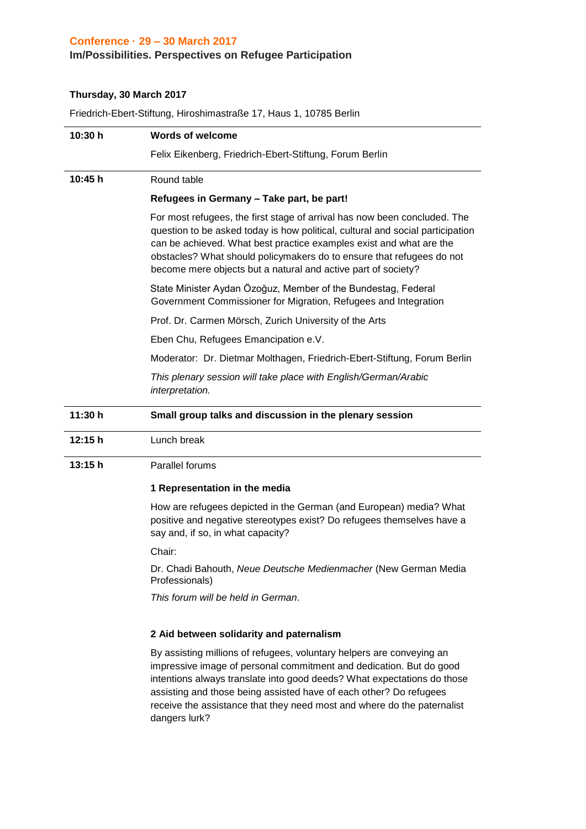#### **Conference · 29 – 30 March 2017**

#### **Im/Possibilities. Perspectives on Refugee Participation**

#### **Thursday, 30 March 2017**

Friedrich-Ebert-Stiftung, Hiroshimastraße 17, Haus 1, 10785 Berlin

| 10:30 h | <b>Words of welcome</b>                                                                                                                                                                                                                                                                                                                                                      |
|---------|------------------------------------------------------------------------------------------------------------------------------------------------------------------------------------------------------------------------------------------------------------------------------------------------------------------------------------------------------------------------------|
|         | Felix Eikenberg, Friedrich-Ebert-Stiftung, Forum Berlin                                                                                                                                                                                                                                                                                                                      |
| 10:45h  | Round table                                                                                                                                                                                                                                                                                                                                                                  |
|         | Refugees in Germany - Take part, be part!                                                                                                                                                                                                                                                                                                                                    |
|         | For most refugees, the first stage of arrival has now been concluded. The<br>question to be asked today is how political, cultural and social participation<br>can be achieved. What best practice examples exist and what are the<br>obstacles? What should policymakers do to ensure that refugees do not<br>become mere objects but a natural and active part of society? |
|         | State Minister Aydan Özoğuz, Member of the Bundestag, Federal<br>Government Commissioner for Migration, Refugees and Integration                                                                                                                                                                                                                                             |
|         | Prof. Dr. Carmen Mörsch, Zurich University of the Arts                                                                                                                                                                                                                                                                                                                       |
|         | Eben Chu, Refugees Emancipation e.V.                                                                                                                                                                                                                                                                                                                                         |
|         | Moderator: Dr. Dietmar Molthagen, Friedrich-Ebert-Stiftung, Forum Berlin                                                                                                                                                                                                                                                                                                     |
|         | This plenary session will take place with English/German/Arabic<br>interpretation.                                                                                                                                                                                                                                                                                           |
| 11:30 h | Small group talks and discussion in the plenary session                                                                                                                                                                                                                                                                                                                      |
| 12:15 h | Lunch break                                                                                                                                                                                                                                                                                                                                                                  |
| 13:15 h | Parallel forums                                                                                                                                                                                                                                                                                                                                                              |
|         | 1 Representation in the media                                                                                                                                                                                                                                                                                                                                                |
|         | How are refugees depicted in the German (and European) media? What<br>positive and negative stereotypes exist? Do refugees themselves have a<br>say and, if so, in what capacity?                                                                                                                                                                                            |
|         | Chair:                                                                                                                                                                                                                                                                                                                                                                       |
|         | Dr. Chadi Bahouth, Neue Deutsche Medienmacher (New German Media<br>Professionals)                                                                                                                                                                                                                                                                                            |
|         | This forum will be held in German.                                                                                                                                                                                                                                                                                                                                           |
|         | 2 Aid between solidarity and paternalism                                                                                                                                                                                                                                                                                                                                     |
|         | By assisting millions of refugees, voluntary helpers are conveying an<br>impressive image of personal commitment and dedication. But do good                                                                                                                                                                                                                                 |

intentions always translate into good deeds? What expectations do those assisting and those being assisted have of each other? Do refugees receive the assistance that they need most and where do the paternalist dangers lurk?